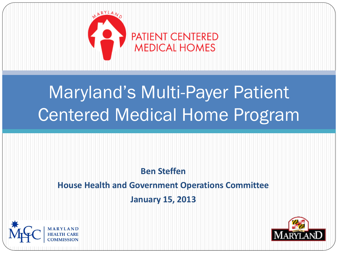

# Maryland's Multi-Payer Patient Centered Medical Home Program

#### **Ben Steffen**

#### **House Health and Government Operations Committee**

#### **January 15, 2013**



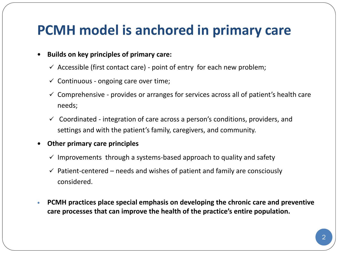#### **PCMH model is anchored in primary care**

#### **Builds on key principles of primary care:**

- $\checkmark$  Accessible (first contact care) point of entry for each new problem;
- $\checkmark$  Continuous ongoing care over time;
- $\checkmark$  Comprehensive provides or arranges for services across all of patient's health care needs;
- $\checkmark$  Coordinated integration of care across a person's conditions, providers, and settings and with the patient's family, caregivers, and community.

#### **Other primary care principles**

- $\checkmark$  Improvements through a systems-based approach to quality and safety
- $\checkmark$  Patient-centered needs and wishes of patient and family are consciously considered.
- **PCMH practices place special emphasis on developing the chronic care and preventive care processes that can improve the health of the practice's entire population.**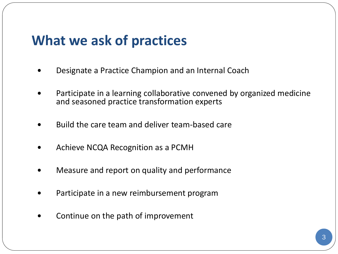#### **What we ask of practices**

- Designate a Practice Champion and an Internal Coach
- Participate in a learning collaborative convened by organized medicine and seasoned practice transformation experts
- Build the care team and deliver team-based care
- Achieve NCQA Recognition as a PCMH
- Measure and report on quality and performance
- Participate in a new reimbursement program
- Continue on the path of improvement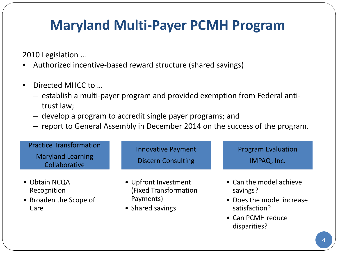### **Maryland Multi-Payer PCMH Program**

2010 Legislation …

- Authorized incentive-based reward structure (shared savings)
- Directed MHCC to …
	- ‒ establish a multi-payer program and provided exemption from Federal antitrust law;
	- ‒ develop a program to accredit single payer programs; and
	- ‒ report to General Assembly in December 2014 on the success of the program.

| <b>Practice Transformation</b><br><b>Maryland Learning</b><br>Collaborative | <b>Innovative Payment</b><br><b>Discern Consulting</b>                         | <b>Program Evaluation</b><br>IMPAQ, Inc.                                                                               |
|-----------------------------------------------------------------------------|--------------------------------------------------------------------------------|------------------------------------------------------------------------------------------------------------------------|
| • Obtain NCQA<br>Recognition<br>• Broaden the Scope of<br>Care              | • Upfront Investment<br>(Fixed Transformation<br>Payments)<br>• Shared savings | • Can the model achieve<br>savings?<br>• Does the model increase<br>satisfaction?<br>• Can PCMH reduce<br>disparities? |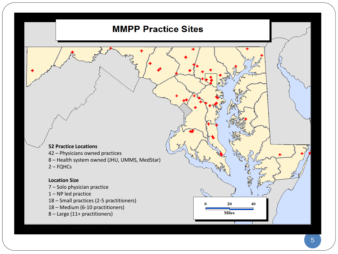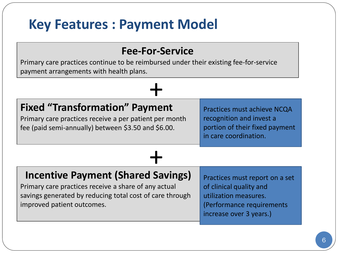### **Key Features : Payment Model**

#### **Fee-For-Service**

Primary care practices continue to be reimbursed under their existing fee-for-service payment arrangements with health plans.

# **Fixed "Transformation" Payment**  $\frac{1}{\pm}$

Primary care practices receive a per patient per month fee (paid semi-annually) between \$3.50 and \$6.00.

Practices must achieve NCQA recognition and invest a portion of their fixed payment in care coordination.

# **Incentive Payment (Shared Savings)**  $\frac{1}{\pm}$

Primary care practices receive a share of any actual savings generated by reducing total cost of care through improved patient outcomes.

Practices must report on a set of clinical quality and utilization measures. (Performance requirements increase over 3 years.)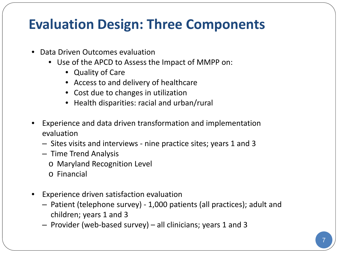## **Evaluation Design: Three Components**

- Data Driven Outcomes evaluation
	- Use of the APCD to Assess the Impact of MMPP on:
		- Quality of Care
		- Access to and delivery of healthcare
		- Cost due to changes in utilization
		- Health disparities: racial and urban/rural
- Experience and data driven transformation and implementation evaluation
	- ‒ Sites visits and interviews nine practice sites; years 1 and 3
	- ‒ Time Trend Analysis
		- o Maryland Recognition Level
		- o Financial
- Experience driven satisfaction evaluation
	- ‒ Patient (telephone survey) 1,000 patients (all practices); adult and children; years 1 and 3
	- ‒ Provider (web-based survey) all clinicians; years 1 and 3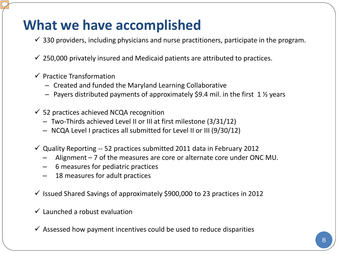## **What we have accomplished**

- $\checkmark$  330 providers, including physicians and nurse practitioners, participate in the program.
- $\checkmark$  250,000 privately insured and Medicaid patients are attributed to practices.
- $\checkmark$  Practice Transformation
	- ‒ Created and funded the Maryland Learning Collaborative
	- $-$  Payers distributed payments of approximately \$9.4 mil. in the first 1  $\frac{1}{2}$  years
- $\checkmark$  52 practices achieved NCQA recognition
	- ‒ Two-Thirds achieved Level II or III at first milestone (3/31/12)
	- NCQA Level I practices all submitted for Level II or III (9/30/12)
- $\checkmark$  Quality Reporting -- 52 practices submitted 2011 data in February 2012
	- Alignment  $-7$  of the measures are core or alternate core under ONC MU.
	- ‒ 6 measures for pediatric practices
	- 18 measures for adult practices
- $\checkmark$  Issued Shared Savings of approximately \$900,000 to 23 practices in 2012
- $\checkmark$  Launched a robust evaluation
- $\checkmark$  Assessed how payment incentives could be used to reduce disparities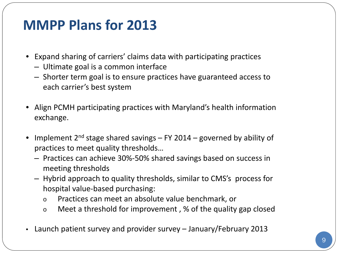#### **MMPP Plans for 2013**

- Expand sharing of carriers' claims data with participating practices
	- ‒ Ultimate goal is a common interface
	- ‒ Shorter term goal is to ensure practices have guaranteed access to each carrier's best system
- Align PCMH participating practices with Maryland's health information exchange.
- Implement  $2^{nd}$  stage shared savings FY 2014 governed by ability of practices to meet quality thresholds…
	- ‒ Practices can achieve 30%-50% shared savings based on success in meeting thresholds
	- ‒ Hybrid approach to quality thresholds, similar to CMS's process for hospital value-based purchasing:
		- o Practices can meet an absolute value benchmark, or
		- o Meet a threshold for improvement , % of the quality gap closed
- Launch patient survey and provider survey January/February 2013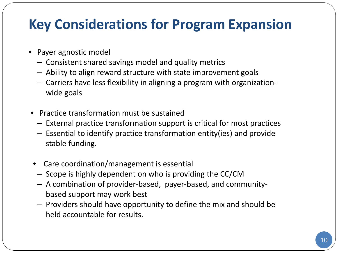## **Key Considerations for Program Expansion**

- Payer agnostic model
	- ‒ Consistent shared savings model and quality metrics
	- ‒ Ability to align reward structure with state improvement goals
	- ‒ Carriers have less flexibility in aligning a program with organizationwide goals
- Practice transformation must be sustained
	- ‒ External practice transformation support is critical for most practices
	- ‒ Essential to identify practice transformation entity(ies) and provide stable funding.
- Care coordination/management is essential
- ‒ Scope is highly dependent on who is providing the CC/CM
- ‒ A combination of provider-based, payer-based, and communitybased support may work best
- ‒ Providers should have opportunity to define the mix and should be held accountable for results.